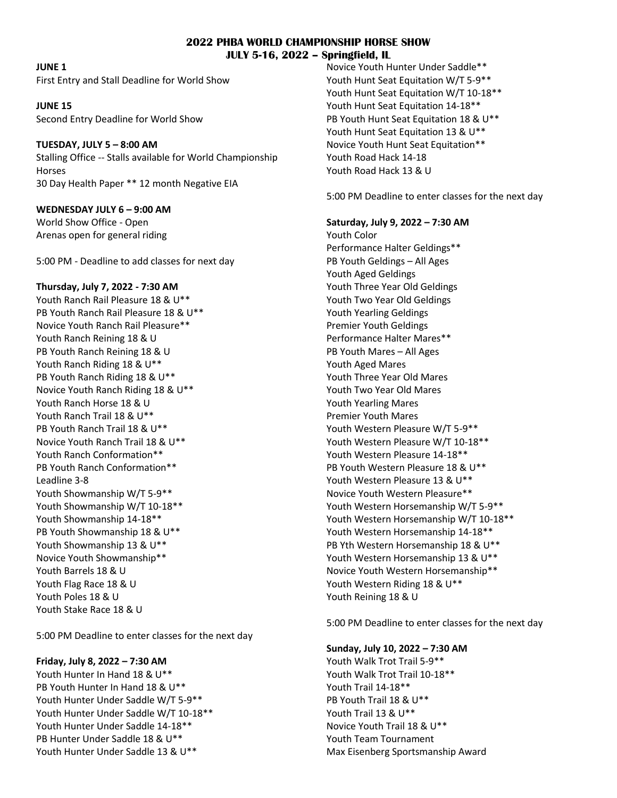#### **2022 PHBA WORLD CHAMPIONSHIP HORSE SHOW JULY 5-16, 2022 – Springfield, IL**

**JUNE 1**

First Entry and Stall Deadline for World Show

**JUNE 15**  Second Entry Deadline for World Show

### **TUESDAY, JULY 5 – 8:00 AM**

Stalling Office -- Stalls available for World Championship Horses 30 Day Health Paper \*\* 12 month Negative EIA

## **WEDNESDAY JULY 6 – 9:00 AM**

World Show Office - Open Arenas open for general riding

5:00 PM - Deadline to add classes for next day

### **Thursday, July 7, 2022 - 7:30 AM**

Youth Ranch Rail Pleasure 18 & U\*\* PB Youth Ranch Rail Pleasure 18 & U\*\* Novice Youth Ranch Rail Pleasure\*\* Youth Ranch Reining 18 & U PB Youth Ranch Reining 18 & U Youth Ranch Riding 18 & U\*\* PB Youth Ranch Riding 18 & U\*\* Novice Youth Ranch Riding 18 & U\*\* Youth Ranch Horse 18 & U Youth Ranch Trail 18 & U\*\* PB Youth Ranch Trail 18 & U\*\* Novice Youth Ranch Trail 18 & U\*\* Youth Ranch Conformation\*\* PB Youth Ranch Conformation\*\* Leadline 3-8 Youth Showmanship W/T 5-9\*\* Youth Showmanship W/T 10-18\*\* Youth Showmanship 14-18\*\* PB Youth Showmanship 18 & U\*\* Youth Showmanship 13 & U\*\* Novice Youth Showmanship\*\* Youth Barrels 18 & U Youth Flag Race 18 & U Youth Poles 18 & U Youth Stake Race 18 & U

5:00 PM Deadline to enter classes for the next day

# **Friday, July 8, 2022 – 7:30 AM**

Youth Hunter In Hand 18 & U\*\* PB Youth Hunter In Hand 18 & U\*\* Youth Hunter Under Saddle W/T 5-9\*\* Youth Hunter Under Saddle W/T 10-18\*\* Youth Hunter Under Saddle 14-18\*\* PB Hunter Under Saddle 18 & U\*\* Youth Hunter Under Saddle 13 & U\*\*

Novice Youth Hunter Under Saddle\*\* Youth Hunt Seat Equitation W/T 5-9\*\* Youth Hunt Seat Equitation W/T 10-18\*\* Youth Hunt Seat Equitation 14-18\*\* PB Youth Hunt Seat Equitation 18 & U\*\* Youth Hunt Seat Equitation 13 & U\*\* Novice Youth Hunt Seat Equitation\*\* Youth Road Hack 14-18 Youth Road Hack 13 & U

5:00 PM Deadline to enter classes for the next day

### **Saturday, July 9, 2022 – 7:30 AM**

Youth Color Performance Halter Geldings\*\* PB Youth Geldings – All Ages Youth Aged Geldings Youth Three Year Old Geldings Youth Two Year Old Geldings Youth Yearling Geldings Premier Youth Geldings Performance Halter Mares\*\* PB Youth Mares – All Ages Youth Aged Mares Youth Three Year Old Mares Youth Two Year Old Mares Youth Yearling Mares Premier Youth Mares Youth Western Pleasure W/T 5-9\*\* Youth Western Pleasure W/T 10-18\*\* Youth Western Pleasure 14-18\*\* PB Youth Western Pleasure 18 & U\*\* Youth Western Pleasure 13 & U\*\* Novice Youth Western Pleasure\*\* Youth Western Horsemanship W/T 5-9\*\* Youth Western Horsemanship W/T 10-18\*\* Youth Western Horsemanship 14-18\*\* PB Yth Western Horsemanship 18 & U\*\* Youth Western Horsemanship 13 & U\*\* Novice Youth Western Horsemanship\*\* Youth Western Riding 18 & U\*\* Youth Reining 18 & U

5:00 PM Deadline to enter classes for the next day

# **Sunday, July 10, 2022 – 7:30 AM**

Youth Walk Trot Trail 5-9\*\* Youth Walk Trot Trail 10-18\*\* Youth Trail 14-18\*\* PB Youth Trail 18 & U\*\* Youth Trail 13 & U\*\* Novice Youth Trail 18 & U\*\* Youth Team Tournament Max Eisenberg Sportsmanship Award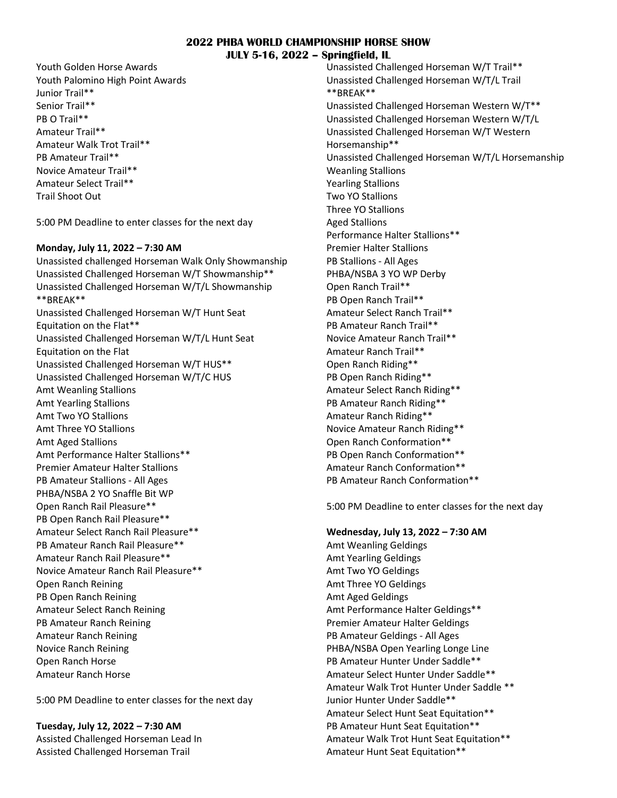#### **2022 PHBA WORLD CHAMPIONSHIP HORSE SHOW JULY 5-16, 2022 – Springfield, IL**

Youth Golden Horse Awards Youth Palomino High Point Awards Junior Trail\*\* Senior Trail\*\* PB O Trail\*\* Amateur Trail\*\* Amateur Walk Trot Trail\*\* PB Amateur Trail\*\* Novice Amateur Trail\*\* Amateur Select Trail\*\* Trail Shoot Out

5:00 PM Deadline to enter classes for the next day

#### **Monday, July 11, 2022 – 7:30 AM**

Unassisted challenged Horseman Walk Only Showmanship Unassisted Challenged Horseman W/T Showmanship\*\* Unassisted Challenged Horseman W/T/L Showmanship \*\*BREAK\*\* Unassisted Challenged Horseman W/T Hunt Seat Equitation on the Flat\*\* Unassisted Challenged Horseman W/T/L Hunt Seat Equitation on the Flat Unassisted Challenged Horseman W/T HUS\*\* Unassisted Challenged Horseman W/T/C HUS Amt Weanling Stallions Amt Yearling Stallions Amt Two YO Stallions Amt Three YO Stallions Amt Aged Stallions Amt Performance Halter Stallions\*\* Premier Amateur Halter Stallions PB Amateur Stallions - All Ages PHBA/NSBA 2 YO Snaffle Bit WP Open Ranch Rail Pleasure\*\* PB Open Ranch Rail Pleasure\*\* Amateur Select Ranch Rail Pleasure\*\* PB Amateur Ranch Rail Pleasure\*\* Amateur Ranch Rail Pleasure\*\* Novice Amateur Ranch Rail Pleasure\*\* Open Ranch Reining PB Open Ranch Reining Amateur Select Ranch Reining PB Amateur Ranch Reining Amateur Ranch Reining Novice Ranch Reining Open Ranch Horse Amateur Ranch Horse

5:00 PM Deadline to enter classes for the next day

**Tuesday, July 12, 2022 – 7:30 AM** Assisted Challenged Horseman Lead In Assisted Challenged Horseman Trail

Unassisted Challenged Horseman W/T Trail\*\* Unassisted Challenged Horseman W/T/L Trail \*\*BREAK\*\* Unassisted Challenged Horseman Western W/T\*\* Unassisted Challenged Horseman Western W/T/L Unassisted Challenged Horseman W/T Western Horsemanship\*\* Unassisted Challenged Horseman W/T/L Horsemanship Weanling Stallions Yearling Stallions Two YO Stallions Three YO Stallions Aged Stallions Performance Halter Stallions\*\* Premier Halter Stallions PB Stallions - All Ages PHBA/NSBA 3 YO WP Derby Open Ranch Trail\*\* PB Open Ranch Trail\*\* Amateur Select Ranch Trail\*\* PB Amateur Ranch Trail\*\* Novice Amateur Ranch Trail\*\* Amateur Ranch Trail\*\* Open Ranch Riding\*\* PB Open Ranch Riding\*\* Amateur Select Ranch Riding\*\* PB Amateur Ranch Riding\*\* Amateur Ranch Riding\*\* Novice Amateur Ranch Riding\*\* Open Ranch Conformation\*\* PB Open Ranch Conformation\*\* Amateur Ranch Conformation\*\* PB Amateur Ranch Conformation\*\*

5:00 PM Deadline to enter classes for the next day

#### **Wednesday, July 13, 2022 – 7:30 AM**

Amt Weanling Geldings Amt Yearling Geldings Amt Two YO Geldings Amt Three YO Geldings Amt Aged Geldings Amt Performance Halter Geldings\*\* Premier Amateur Halter Geldings PB Amateur Geldings - All Ages PHBA/NSBA Open Yearling Longe Line PB Amateur Hunter Under Saddle\*\* Amateur Select Hunter Under Saddle\*\* Amateur Walk Trot Hunter Under Saddle \*\* Junior Hunter Under Saddle\*\* Amateur Select Hunt Seat Equitation\*\* PB Amateur Hunt Seat Equitation\*\* Amateur Walk Trot Hunt Seat Equitation\*\* Amateur Hunt Seat Equitation\*\*